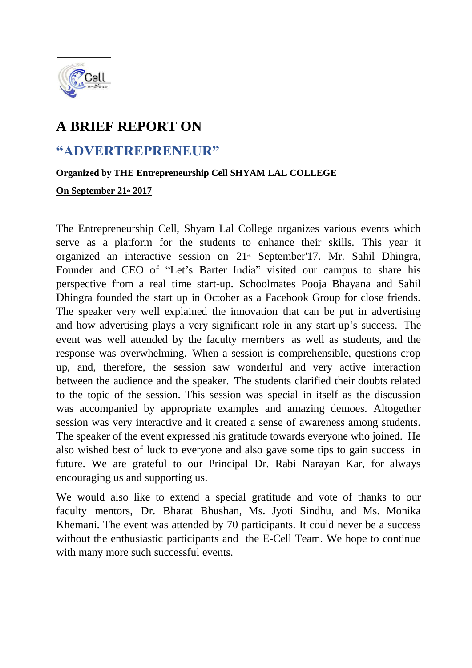

## **A BRIEF REPORT ON**

## **"ADVERTREPRENEUR"**

## **Organized by THE Entrepreneurship Cell SHYAM LAL COLLEGE**

**On September 21th 2017** 

The Entrepreneurship Cell, Shyam Lal College organizes various events which serve as a platform for the students to enhance their skills. This year it organized an interactive session on 21<sup>th</sup> September'17. Mr. Sahil Dhingra, Founder and CEO of "Let's Barter India" visited our campus to share his perspective from a real time start-up. Schoolmates Pooja Bhayana and Sahil Dhingra founded the start up in October as a Facebook Group for close friends. The speaker very well explained the innovation that can be put in advertising and how advertising plays a very significant role in any start-up's success. The event was well attended by the faculty members as well as students, and the response was overwhelming. When a session is comprehensible, questions crop up, and, therefore, the session saw wonderful and very active interaction between the audience and the speaker. The students clarified their doubts related to the topic of the session. This session was special in itself as the discussion was accompanied by appropriate examples and amazing demoes. Altogether session was very interactive and it created a sense of awareness among students. The speaker of the event expressed his gratitude towards everyone who joined. He also wished best of luck to everyone and also gave some tips to gain success in future. We are grateful to our Principal Dr. Rabi Narayan Kar, for always encouraging us and supporting us.

We would also like to extend a special gratitude and vote of thanks to our faculty mentors, Dr. Bharat Bhushan, Ms. Jyoti Sindhu, and Ms. Monika Khemani. The event was attended by 70 participants. It could never be a success without the enthusiastic participants and the E-Cell Team. We hope to continue with many more such successful events.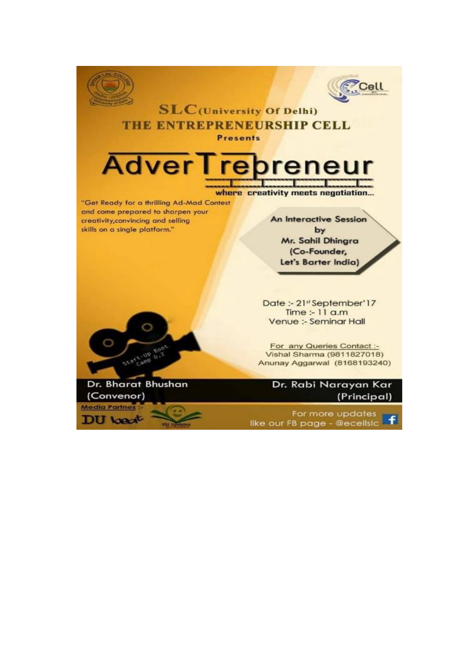



## **SLC**(University Of Delhi) THE ENTREPRENEURSHIP CELL **Presents**

**Adver I** reneur

where creativity meets negotiation...

"Get Ready for a thrilling Ad-Mad Contest and come prepared to sharpen your creativity, convincing and selling skills on a single platform."

**An Interactive Session** by Mr. Sahil Dhingra (Co-Founder, Let's Barter India)

Date:-21stSeptember'17 Time :- 11 a.m Venue :- Seminar Hall

For any Queries Contact :-Vishal Sharma (9811827018) Anunay Aggarwal (8168193240)